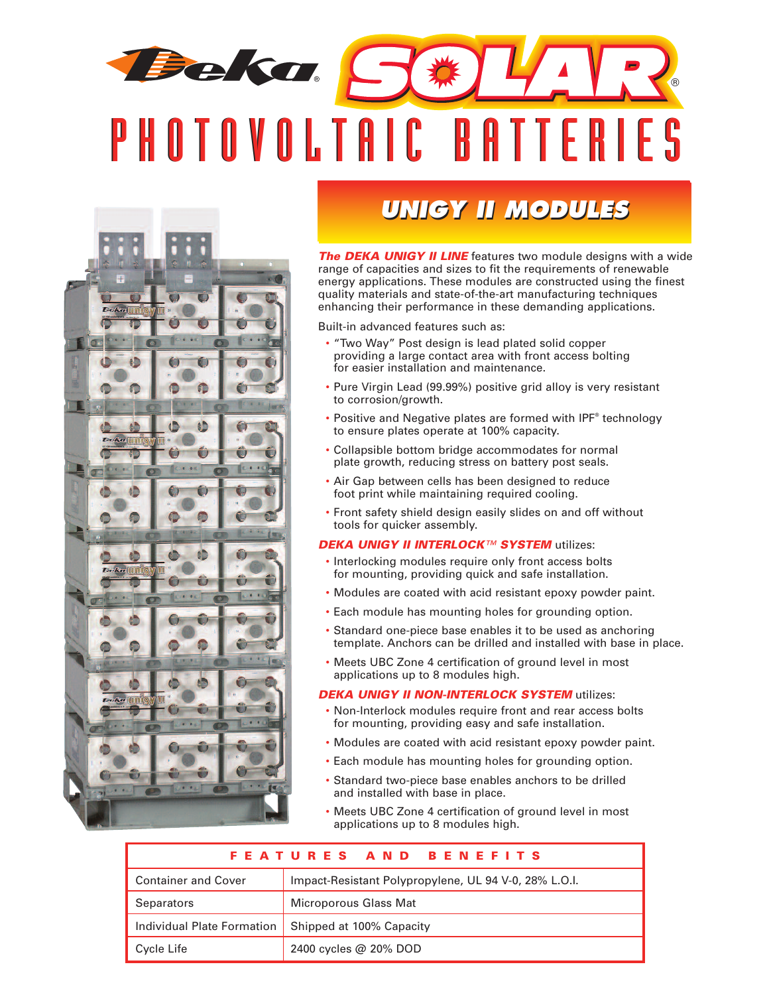# **Beka** ® P H O T O V O L T A I C B A T T E R I E S



### **UNIGY II MODULES**

*The DEKA UNIGY II LINE* features two module designs with a wide range of capacities and sizes to fit the requirements of renewable energy applications. These modules are constructed using the finest quality materials and state-of-the-art manufacturing techniques enhancing their performance in these demanding applications.

Built-in advanced features such as:

- "Two Way" Post design is lead plated solid copper providing a large contact area with front access bolting for easier installation and maintenance.
- Pure Virgin Lead (99.99%) positive grid alloy is very resistant to corrosion/growth.
- Positive and Negative plates are formed with IPF® technology to ensure plates operate at 100% capacity.
- Collapsible bottom bridge accommodates for normal plate growth, reducing stress on battery post seals.
- Air Gap between cells has been designed to reduce foot print while maintaining required cooling.
- Front safety shield design easily slides on and off without tools for quicker assembly.

#### *DEKA UNIGY II INTERLOCK™ SYSTEM* utilizes:

- Interlocking modules require only front access bolts for mounting, providing quick and safe installation.
- Modules are coated with acid resistant epoxy powder paint.
- Each module has mounting holes for grounding option.
- Standard one-piece base enables it to be used as anchoring template. Anchors can be drilled and installed with base in place.
- Meets UBC Zone 4 certification of ground level in most applications up to 8 modules high.

#### *DEKA UNIGY II NON-INTERLOCK SYSTEM* utilizes:

- Non-Interlock modules require front and rear access bolts for mounting, providing easy and safe installation.
- Modules are coated with acid resistant epoxy powder paint.
- Each module has mounting holes for grounding option.
- Standard two-piece base enables anchors to be drilled and installed with base in place.
- Meets UBC Zone 4 certification of ground level in most applications up to 8 modules high.

| FEATURES AND BENEFITS      |                                                       |  |  |  |  |  |  |  |  |
|----------------------------|-------------------------------------------------------|--|--|--|--|--|--|--|--|
| <b>Container and Cover</b> | Impact-Resistant Polypropylene, UL 94 V-0, 28% L.O.I. |  |  |  |  |  |  |  |  |
| <b>Separators</b>          | Microporous Glass Mat                                 |  |  |  |  |  |  |  |  |
| Individual Plate Formation | Shipped at 100% Capacity                              |  |  |  |  |  |  |  |  |
| Cycle Life                 | 2400 cycles @ 20% DOD                                 |  |  |  |  |  |  |  |  |